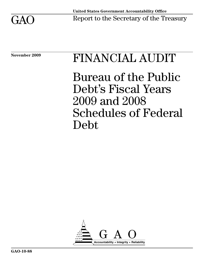

# November 2009 FINANCIAL AUDIT

Bureau of the Public Debt's Fiscal Years 2009 and 2008 Schedules of Federal Debt

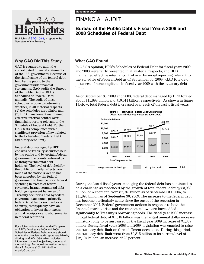

Highlights of [GAO-10-88](http://www.gao.gov/cgi-bin/getrpt?GAO-10-88), a report to the Secretary of the Treasury

# **Why GAO Did This Study**

GAO is required to audit the consolidated financial statements of the U.S. government. Because of the significance of the federal debt held by the public to the governmentwide financial statements, GAO audits the Bureau of the Public Debt's (BPD) Schedules of Federal Debt annually. The audit of these schedules is done to determine whether, in all material respects, (1) the schedules are reliable and (2) BPD management maintained effective internal control over financial reporting relevant to the Schedule of Federal Debt. Further, GAO tests compliance with a significant provision of law related to the Schedule of Federal Debt (statutory debt limit).

Federal debt managed by BPD consists of Treasury securities held by the public and by certain federal government accounts, referred to as intragovernmental debt holdings. The level of debt held by the public primarily reflects how much of the nation's wealth has been absorbed by the federal government to finance prior federal spending in excess of federal revenues. Intragovernmental debt holdings represent balances of Treasury securities held by federal government accounts, primarily federal trust funds such as Social Security, that typically have an obligation to invest their excess annual receipts over disbursements in federal securities.

For a fuller understanding of GAO's opinion on BPD's fiscal years 2009 and 2008 Schedules of Federal Debt, readers should refer to the complete audit report, available by clicking on GAO-10-88, which includes information on audit objectives, scope, and methodology. For more information, contact Gary T. Engel at (202) 512-3406 or engelg@gao.gov.

# FINANCIAL AUDIT

# **Bureau of the Public Debt's Fiscal Years 2009 and 2008 Schedules of Federal Debt**

# **What GAO Found**

In GAO's opinion, BPD's Schedules of Federal Debt for fiscal years 2009 and 2008 were fairly presented in all material respects, and BPD maintained effective internal control over financial reporting relevant to the Schedule of Federal Debt as of September 30, 2009. GAO found no instances of noncompliance in fiscal year 2009 with the statutory debt limit.

As of September 30, 2009 and 2008, federal debt managed by BPD totaled about \$11,898 billion and \$10,011 billion, respectively. As shown in figure 1 below, total federal debt increased over each of the last 4 fiscal years.



During the last 4 fiscal years, managing the federal debt has continued to be a challenge as evidenced by the growth of total federal debt by \$3,980 billion, or 50 percent, from \$7,918 billion as of September 30, 2005, to \$11,898 billion as of September 30, 2009. The increase to the federal debt has become particularly acute since the onset of the recession in December 2007. Federal government actions in response to both the financial market crisis and the economic downturn have added significantly to Treasury's borrowing needs. The fiscal year 2008 increase in total federal debt of \$1,018 billion was the largest annual dollar increase in history; only to be surpassed by the fiscal year 2009 increase of \$1,887 billion. During fiscal years 2008 and 2009, legislation was enacted to raise the statutory debt limit on three different occasions. During this period, the statutory debt limit went from \$9,815 billion to its current level of \$12,104 billion, an increase of 23 percent.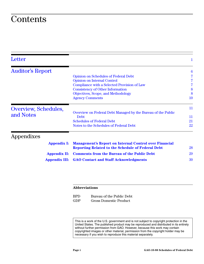# **Contents**

| Letter                  |                                                                                                                           | 1                |
|-------------------------|---------------------------------------------------------------------------------------------------------------------------|------------------|
| <b>Auditor's Report</b> |                                                                                                                           | $\boldsymbol{6}$ |
|                         | <b>Opinion on Schedules of Federal Debt</b>                                                                               |                  |
|                         | <b>Opinion on Internal Control</b>                                                                                        |                  |
|                         | Compliance with a Selected Provision of Law                                                                               |                  |
|                         | <b>Consistency of Other Information</b>                                                                                   | 8                |
|                         | Objectives, Scope, and Methodology                                                                                        | 8                |
|                         | <b>Agency Comments</b>                                                                                                    | 10               |
| Overview, Schedules,    | Overview on Federal Debt Managed by the Bureau of the Public                                                              | 11               |
| and Notes               | Debt                                                                                                                      | 11               |
|                         | <b>Schedules of Federal Debt</b>                                                                                          | 21               |
|                         | Notes to the Schedules of Federal Debt                                                                                    | 22               |
| Appendixes              |                                                                                                                           |                  |
| <b>Appendix I:</b>      | <b>Management's Report on Internal Control over Financial</b><br><b>Reporting Related to the Schedule of Federal Debt</b> | 28               |
|                         | <b>Comments from the Bureau of the Public Debt</b>                                                                        | 29               |
| <b>Appendix II:</b>     |                                                                                                                           |                  |
| <b>Appendix III:</b>    | <b>GAO Contact and Staff Acknowledgments</b>                                                                              | 30               |

# **Abbreviations**

BPD Bureau of the Public Debt GDP Gross Domestic Product

This is a work of the U.S. government and is not subject to copyright protection in the United States. The published product may be reproduced and distributed in its entirety without further permission from GAO. However, because this work may contain copyrighted images or other material, permission from the copyright holder may be necessary if you wish to reproduce this material separately.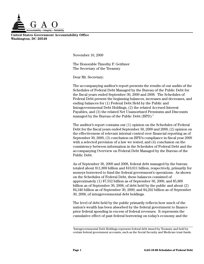

**United States Government Accountability Office Washington, DC 20548**

<span id="page-3-0"></span>November 10, 2009

The Honorable Timothy F. Geithner The Secretary of the Treasury

Dear Mr. Secretary:

The accompanying auditor's report presents the results of our audits of the Schedules of Federal Debt Managed by the Bureau of the Public Debt for the fiscal years ended September 30, 2009 and 2008. The Schedules of Federal Debt present the beginning balances, increases and decreases, and ending balances for (1) Federal Debt Held by the Public and Intragovernmental Debt Holdings, (2) the related Accrued Interest Payables, and (3) the related Net Unamortized Premiums and Discounts managed by the Bureau of the Public Debt  $(BPD).<sup>1</sup>$ 

The auditor's report contains our (1) opinion on the Schedules of Federal Debt for the fiscal years ended September 30, 2009 and 2008, (2) opinion on the effectiveness of relevant internal control over financial reporting as of September 30, 2009, (3) conclusion on BPD's compliance in fiscal year 2009 with a selected provision of a law we tested, and (4) conclusion on the consistency between information in the Schedules of Federal Debt and the accompanying Overview on Federal Debt Managed by the Bureau of the Public Debt.

As of September 30, 2009 and 2008, federal debt managed by the bureau totaled about \$11,898 billion and \$10,011 billion, respectively, primarily for moneys borrowed to fund the federal government's operations. As shown on the Schedules of Federal Debt, these balances consisted of approximately (1) \$7,552 billion as of September 30, 2009, and \$5,809 billion as of September 30, 2008, of debt held by the public and about (2) \$4,346 billion as of September 30, 2009, and \$4,202 billion as of September 30, 2008, of intragovernmental debt holdings.

The level of debt held by the public primarily reflects how much of the nation's wealth has been absorbed by the federal government to finance prior federal spending in excess of federal revenues. It represents the cumulative effect of past federal borrowing on today's economy and the

<sup>&</sup>lt;sup>1</sup>Intragovernmental Debt Holdings represent federal debt issued by Treasury and held by certain federal government accounts, such as the Social Security and Medicare trust funds.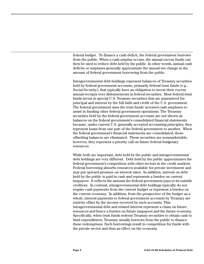federal budget. To finance a cash deficit, the federal government borrows from the public. When a cash surplus occurs, the annual excess funds can then be used to reduce debt held by the public. In other words, annual cash deficits or surpluses generally approximate the annual net change in the amount of federal government borrowing from the public.

Intragovernmental debt holdings represent balances of Treasury securities held by federal government accounts, primarily federal trust funds (e.g., Social Security), that typically have an obligation to invest their excess annual receipts over disbursements in federal securities. Most federal trust funds invest in special U.S. Treasury securities that are guaranteed for principal and interest by the full faith and credit of the U.S. government. The federal government uses the trust funds' invested cash surpluses to assist in funding other federal government operations. The Treasury securities held by the federal government accounts are not shown as balances on the federal government's consolidated financial statements because, under current U.S. generally accepted accounting principles, they represent loans from one part of the federal government to another. When the federal government's financial statements are consolidated, those offsetting balances are eliminated. These securities are nonmarketable; however, they represent a priority call on future federal budgetary resources.

While both are important, debt held by the public and intragovernmental debt holdings are very different. Debt held by the public approximates the federal government's competition with other sectors in the credit markets. Federal borrowing absorbs resources available for private investment and may put upward pressure on interest rates. In addition, interest on debt held by the public is paid in cash and represents a burden on current taxpayers. It reflects the amount the federal government pays to its outside creditors. In contrast, intragovernmental debt holdings typically do not require cash payments from the current budget or represent a burden on the current economy. In addition, from the perspective of the budget as a whole, interest payments to federal government accounts by Treasury are entirely offset by the income received by such accounts. This intragovernmental debt and related interest represent a claim on future resources and hence a burden on future taxpayers and the future economy. Specifically, when trust funds redeem Treasury securities to obtain cash to fund expenditures, Treasury usually borrows from the public to finance these redemptions. Such borrowings result in competition for funds with the private sector and thus an effect on the economy.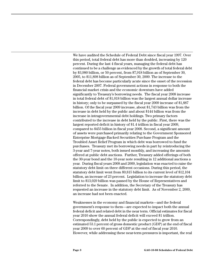We have audited the Schedule of Federal Debt since fiscal year 1997. Over this period, total federal debt has more than doubled, increasing by 120 percent. During the last 4 fiscal years, managing the federal debt has continued to be a challenge as evidenced by the growth of total federal debt by \$3,980 billion, or 50 percent, from \$7,918 billion as of September 30, 2005, to \$11,898 billion as of September 30, 2009. The increase to the federal debt has become particularly acute since the onset of the recession in December 2007. Federal government actions in response to both the financial market crisis and the economic downturn have added significantly to Treasury's borrowing needs. The fiscal year 2008 increase in total federal debt of \$1,018 billion was the largest annual dollar increase in history; only to be surpassed by the fiscal year 2009 increase of \$1,887 billion. Of the fiscal year 2009 increase, about \$1,743 billion was from the increase in debt held by the public and about \$144 billion was from the increase in intragovernmental debt holdings. Two primary factors contributed to the increase in debt held by the public. First, there was the largest reported deficit in history of \$1.4 trillion in fiscal year 2009, compared to \$455 billion in fiscal year 2008. Second, a significant amount of assets were purchased primarily relating to the Government Sponsored Enterprise Mortgage-Backed Securities Purchase Program and the Troubled Asset Relief Program in which debt was borrowed to fund the purchases. Treasury met its borrowing needs in part by reintroducing the 3-year and 7-year notes, both issued monthly, and increasing the amounts offered at public debt auctions. Further, Treasury added offerings of both the 30-year bond and the 10-year note resulting in 12 additional auctions a year. During fiscal years 2008 and 2009, legislation was enacted to raise the statutory debt limit on three different occasions. During this period, the statutory debt limit went from \$9,815 billion to its current level of \$12,104 billion, an increase of 23 percent. Legislation to increase the statutory debt limit to \$13,029 billion was passed by the House of Representatives and referred to the Senate. In addition, the Secretary of the Treasury has requested an increase in the statutory debt limit. As of November 2, 2009, an increase had not been enacted.

Weaknesses in the economy and financial markets—and the federal government's response to them—are expected to impact both the annual federal deficit and related debt in the near term. Official estimates for fiscal year 2010 show the annual federal deficit will exceed \$1 trillion. Correspondingly, debt held by the public is expected to grow from an estimated 53.1 percent of gross domestic product (GDP) at the end of fiscal year 2009 to over 60 percent of GDP at the end of fiscal year 2010. However, while addressing these near-term pressures is important, the real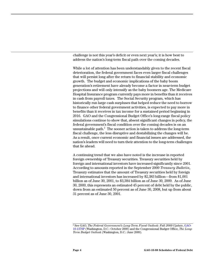challenge is not this year's deficit or even next year's; it is how best to address the nation's long-term fiscal path over the coming decades.

While a lot of attention has been understandably given to the recent fiscal deterioration, the federal government faces even larger fiscal challenges that will persist long after the return to financial stability and economic growth. The budget and economic implications of the baby boom generation's retirement have already become a factor in near-term budget projections and will only intensify as the baby boomers age. The Medicare Hospital Insurance program currently pays more in benefits than it receives in cash from payroll taxes. The Social Security program, which has historically run large cash surpluses that helped reduce the need to borrow to finance other federal government activities, is expected to pay more in benefits than it receives in tax income for a sustained period beginning in 2016. GAO and the Congressional Budget Office's long-range fiscal policy simulations continue to show that, absent significant changes in policy, the federal government's fiscal condition over the coming decades is on an unsustainable path. $^{2}$  The sooner action is taken to address the long-term fiscal challenge, the less disruptive and destabilizing the changes will be. As a result, once current economic and financial issues are addressed, the nation's leaders will need to turn their attention to the long-term challenges that lie ahead.

A continuing trend that we also have noted is the increase in reported foreign ownership of Treasury securities. Treasury securities held by foreign and international investors have increased significantly since 2001. According to amounts reported in the September 2009 *Treasury Bulletin*, Treasury estimates that the amount of Treasury securities held by foreign and international investors has increased by \$2,383 billion—from \$1,001 billion as of June 30, 2001, to \$3,384 billion as of June 30, 2009. As of June 30, 2009, this represents an estimated 45 percent of debt held by the public, down from an estimated 50 percent as of June 30, 2008, but up from about 31 percent as of June 30, 2001.

<sup>2</sup> See GAO, *The Federal Government's Long-Term Fiscal Outlook: Fall 2009 Update*, [GAO-](http://www.gao.gov/cgi-bin/getrpt?GAO-10-137SP)[10-137SP](http://www.gao.gov/cgi-bin/getrpt?GAO-10-137SP) (Washington, D.C.: October 2009) and the Congressional Budget Office, *The Long-Term Budget Outlook* (Washington, D.C.: June 2009).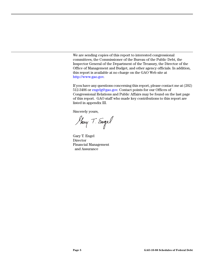We are sending copies of this report to interested congressional committees, the Commissioner of the Bureau of the Public Debt, the Inspector General of the Department of the Treasury, the Director of the Office of Management and Budget, and other agency officials. In addition, this report is available at no charge on the GAO Web site at [http://www.gao.gov.](http://www.gao.gov)

If you have any questions concerning this report, please contact me at (202) 512-3406 or [engelg@gao.gov.](mailto:engelg@gao.gov) Contact points for our Offices of Congressional Relations and Public Affairs may be found on the last page of this report. GAO staff who made key contributions to this report are listed in appendix III.

Sincerely yours,

Harry T. Engel

Gary T. Engel Director Financial Management and Assurance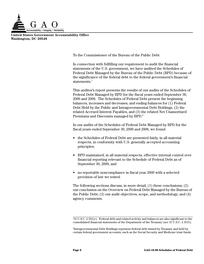

**United States Government Accountability Office Washington, DC 20548**

<span id="page-8-0"></span>To the Commissioner of the Bureau of the Public Debt

In connection with fulfilling our requirement to audit the financial statements of the U.S. government, we have audited the Schedules of Federal Debt Managed by the Bureau of the Public Debt (BPD) because of the significance of the federal debt to the federal government's financial statements. $^{\mathrm{1}}$ 

This auditor's report presents the results of our audits of the Schedules of Federal Debt Managed by BPD for the fiscal years ended September 30, 2009 and 2008. The Schedules of Federal Debt present the beginning balances, increases and decreases, and ending balances for (1) Federal Debt Held by the Public and Intragovernmental Debt Holdings, (2) the related Accrued Interest Payables, and (3) the related Net Unamortized Premiums and Discounts managed by BPD.<sup>2</sup>

In our audits of the Schedules of Federal Debt Managed by BPD for the fiscal years ended September 30, 2009 and 2008, we found

- the Schedules of Federal Debt are presented fairly, in all material respects, in conformity with U.S. generally accepted accounting principles;
- BPD maintained, in all material respects, effective internal control over financial reporting relevant to the Schedule of Federal Debt as of September 30, 2009; and
- no reportable noncompliance in fiscal year 2009 with a selected provision of law we tested.

The following sections discuss, in more detail, (1) these conclusions; (2) our conclusion on the Overview on Federal Debt Managed by the Bureau of the Public Debt; (3) our audit objectives, scope, and methodology; and (4) agency comments.

<sup>1</sup> 31 U.S.C. § 331(e). Federal debt and related activity and balances are also significant to the consolidated financial statements of the Department of the Treasury (see 31 U.S.C. § 3515).

<sup>2</sup> Intragovernmental Debt Holdings represent federal debt issued by Treasury and held by certain federal government accounts, such as the Social Security and Medicare trust funds.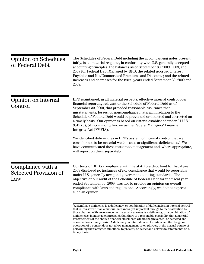<span id="page-9-1"></span><span id="page-9-0"></span>

| <b>Opinion on Schedules</b><br>of Federal Debt           | The Schedules of Federal Debt including the accompanying notes present<br>fairly, in all material respects, in conformity with U.S. generally accepted<br>accounting principles, the balances as of September 30, 2009, 2008, and<br>2007 for Federal Debt Managed by BPD; the related Accrued Interest<br>Payables and Net Unamortized Premiums and Discounts; and the related<br>increases and decreases for the fiscal years ended September 30, 2009 and<br>2008.                                                                                                                                                                                                                                                                                                            |
|----------------------------------------------------------|----------------------------------------------------------------------------------------------------------------------------------------------------------------------------------------------------------------------------------------------------------------------------------------------------------------------------------------------------------------------------------------------------------------------------------------------------------------------------------------------------------------------------------------------------------------------------------------------------------------------------------------------------------------------------------------------------------------------------------------------------------------------------------|
| Opinion on Internal<br>Control                           | BPD maintained, in all material respects, effective internal control over<br>financial reporting relevant to the Schedule of Federal Debt as of<br>September 30, 2009, that provided reasonable assurance that<br>misstatements, losses, or noncompliance material in relation to the<br>Schedule of Federal Debt would be prevented or detected and corrected on<br>a timely basis. Our opinion is based on criteria established under 31 U.S.C.<br>3512 (c), (d), commonly known as the Federal Managers' Financial<br>Integrity Act (FMFIA).                                                                                                                                                                                                                                  |
|                                                          | We identified deficiencies in BPD's system of internal control that we<br>consider not to be material weaknesses or significant deficiencies. <sup>3</sup> We<br>have communicated these matters to management and, where appropriate,<br>will report on them separately.                                                                                                                                                                                                                                                                                                                                                                                                                                                                                                        |
| Compliance with a<br><b>Selected Provision of</b><br>Law | Our tests of BPD's compliance with the statutory debt limit for fiscal year<br>2009 disclosed no instances of noncompliance that would be reportable<br>under U.S. generally accepted government auditing standards. The<br>objective of our audit of the Schedule of Federal Debt for the fiscal year<br>ended September 30, 2009, was not to provide an opinion on overall<br>compliance with laws and regulations. Accordingly, we do not express<br>such an opinion.                                                                                                                                                                                                                                                                                                         |
|                                                          | <sup>3</sup> A significant deficiency is a deficiency, or combination of deficiencies, in internal control<br>that is less severe than a material weakness, yet important enough to merit attention by<br>those charged with governance. A material weakness is a deficiency, or a combination of<br>deficiencies, in internal control such that there is a reasonable possibility that a material<br>misstatement of the entity's financial statements will not be prevented, or detected and<br>corrected on a timely basis. A deficiency in internal control exists when the design or<br>operation of a control does not allow management or employees, in the normal course of<br>performing their assigned functions, to prevent, or detect and correct misstatements on a |

<span id="page-9-2"></span>timely basis.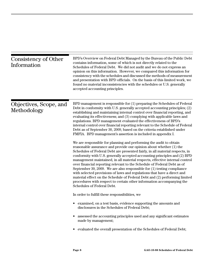<span id="page-10-1"></span><span id="page-10-0"></span>

| Consistency of Other<br>Information   | BPD's Overview on Federal Debt Managed by the Bureau of the Public Debt<br>contains information, some of which is not directly related to the<br>Schedules of Federal Debt. We did not audit and we do not express an<br>opinion on this information. However, we compared this information for<br>consistency with the schedules and discussed the methods of measurement<br>and presentation with BPD officials. On the basis of this limited work, we<br>found no material inconsistencies with the schedules or U.S. generally<br>accepted accounting principles.                                                                                                                                                                                                                                       |
|---------------------------------------|-------------------------------------------------------------------------------------------------------------------------------------------------------------------------------------------------------------------------------------------------------------------------------------------------------------------------------------------------------------------------------------------------------------------------------------------------------------------------------------------------------------------------------------------------------------------------------------------------------------------------------------------------------------------------------------------------------------------------------------------------------------------------------------------------------------|
| Objectives, Scope, and<br>Methodology | BPD management is responsible for (1) preparing the Schedules of Federal<br>Debt in conformity with U.S. generally accepted accounting principles; (2)<br>establishing and maintaining internal control over financial reporting, and<br>evaluating its effectiveness; and (3) complying with applicable laws and<br>regulations. BPD management evaluated the effectiveness of BPD's<br>internal control over financial reporting relevant to the Schedule of Federal<br>Debt as of September 30, 2009, based on the criteria established under<br>FMFIA. BPD management's assertion is included in appendix I.                                                                                                                                                                                            |
|                                       | We are responsible for planning and performing the audit to obtain<br>reasonable assurance and provide our opinion about whether (1) the<br>Schedules of Federal Debt are presented fairly, in all material respects, in<br>conformity with U.S. generally accepted accounting principles and (2) BPD<br>management maintained, in all material respects, effective internal control<br>over financial reporting relevant to the Schedule of Federal Debt as of<br>September 30, 2009. We are also responsible for $(1)$ testing compliance<br>with selected provisions of laws and regulations that have a direct and<br>material effect on the Schedule of Federal Debt and (2) performing limited<br>procedures with respect to certain other information accompanying the<br>Schedules of Federal Debt. |
|                                       | In order to fulfill these responsibilities, we                                                                                                                                                                                                                                                                                                                                                                                                                                                                                                                                                                                                                                                                                                                                                              |
|                                       | • examined, on a test basis, evidence supporting the amounts and<br>disclosures in the Schedules of Federal Debt;                                                                                                                                                                                                                                                                                                                                                                                                                                                                                                                                                                                                                                                                                           |
|                                       | assessed the accounting principles used and any significant estimates<br>made by management;                                                                                                                                                                                                                                                                                                                                                                                                                                                                                                                                                                                                                                                                                                                |
|                                       | evaluated the overall presentation of the Schedules of Federal Debt;                                                                                                                                                                                                                                                                                                                                                                                                                                                                                                                                                                                                                                                                                                                                        |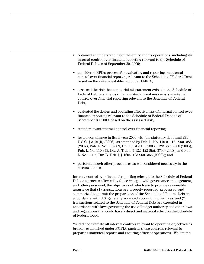- obtained an understanding of the entity and its operations, including its internal control over financial reporting relevant to the Schedule of Federal Debt as of September 30, 2009;
- considered BPD's process for evaluating and reporting on internal control over financial reporting relevant to the Schedule of Federal Debt based on the criteria established under FMFIA;
- assessed the risk that a material misstatement exists in the Schedule of Federal Debt and the risk that a material weakness exists in internal control over financial reporting relevant to the Schedule of Federal Debt;
- evaluated the design and operating effectiveness of internal control over financial reporting relevant to the Schedule of Federal Debt as of September 30, 2009, based on the assessed risk;
- tested relevant internal control over financial reporting;
- tested compliance in fiscal year 2009 with the statutory debt limit (31 U.S.C. § 3101(b) (2006), as amended by Pub. L. No. 110-91, 121 Stat. 988 (2007); Pub. L. No. 110-289, Div. C, Title III, § 3083, 122 Stat. 2908 (2008); Pub. L. No. 110-343, Div. A, Title I, § 122, 122 Stat. 3790 (2008); and Pub. L. No. 111-5, Div. B, Title I, § 1604, 123 Stat. 366 (2009)); and
- performed such other procedures as we considered necessary in the circumstances.

Internal control over financial reporting relevant to the Schedule of Federal Debt is a process effected by those charged with governance, management, and other personnel, the objectives of which are to provide reasonable assurance that (1) transactions are properly recorded, processed, and summarized to permit the preparation of the Schedule of Federal Debt in accordance with U.S. generally accepted accounting principles; and (2) transactions related to the Schedule of Federal Debt are executed in accordance with laws governing the use of budget authority and other laws and regulations that could have a direct and material effect on the Schedule of Federal Debt.

We did not evaluate all internal controls relevant to operating objectives as broadly established under FMFIA, such as those controls relevant to preparing statistical reports and ensuring efficient operations. We limited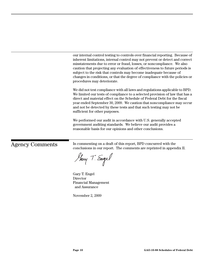our internal control testing to controls over financial reporting. Because of inherent limitations, internal control may not prevent or detect and correct misstatements due to error or fraud, losses, or noncompliance. We also caution that projecting any evaluation of effectiveness to future periods is subject to the risk that controls may become inadequate because of changes in conditions, or that the degree of compliance with the policies or procedures may deteriorate.

We did not test compliance with all laws and regulations applicable to BPD. We limited our tests of compliance to a selected provision of law that has a direct and material effect on the Schedule of Federal Debt for the fiscal year ended September 30, 2009. We caution that noncompliance may occur and not be detected by these tests and that such testing may not be sufficient for other purposes.

We performed our audit in accordance with U.S. generally accepted government auditing standards. We believe our audit provides a reasonable basis for our opinions and other conclusions.

<span id="page-12-0"></span>Agency Comments In commenting on a draft of this report, BPD concurred with the conclusions in our report. The comments are reprinted in appendix II.

Harry T. Engel

Gary T. Engel Director Financial Management and Assurance

November 2, 2009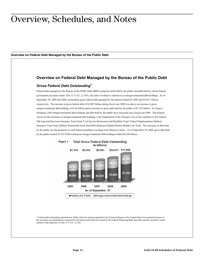# <span id="page-13-0"></span>Overview, Schedules, and Notes

<span id="page-13-1"></span>**Overview on Federal Debt Managed by the Bureau of the Public Debt**

# **Overview on Federal Debt Managed by the Bureau of the Public Debt**

## *Gross Federal Debt Outstanding1*

Federal debt managed by the Bureau of the Public Debt (BPD) comprises debt held by the public and debt held by certain federal government accounts (under Title 31 U.S.C. § 3101), the latter of which is referred to as intragovernmental debt holdings. As of September 30, 2009 and 2008, outstanding gross federal debt managed by the bureau totaled \$11,898 and \$10,011 billion, respectively. The increase in gross federal debt of \$1,887 billion during fiscal year 2009 was due to an increase in gross intragovernmental debt holdings of \$144 billion and an increase in gross debt held by the public of \$1,743 billion. As Figure 1 illustrates, both intragovernmental debt holdings and debt held by the public have increased since fiscal year 2005. The primary reason for the increases in intragovernmental debt holdings is the Department of the Treasury's use of the surpluses in the Federal Old-Age and Survivors Insurance Trust Fund, Civil Service Retirement and Disability Fund, Federal Supplementary Medical Insurance Trust Fund, Military Retirement Fund, and DOD Medicare-Eligible Retiree Health Care Fund. The increases in debt held by the public are due primarily to total federal spending exceeding total federal revenues. As of September 30, 2009, gross debt held by the public totaled \$7,552 billion and gross intragovernmental debt holdings totaled \$4,346 billion.



<sup>1</sup> Federal debt outstanding reported here differs from the amount reported in the Financial Report of the United States Government because of the securities not maintained or reported by the bureau and which are issued by the Federal Financing Bank and other specific securities issued outside of the authority of Title 31 U.S.C. § 3101.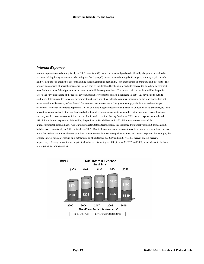# *Interest Expense*

Interest expense incurred during fiscal year 2009 consists of (1) interest accrued and paid on debt held by the public or credited to accounts holding intragovernmental debt during the fiscal year, (2) interest accrued during the fiscal year, but not yet paid on debt held by the public or credited to accounts holding intragovernmental debt, and (3) net amortization of premiums and discounts. The primary components of interest expense are interest paid on the debt held by the public and interest credited to federal government trust funds and other federal government accounts that hold Treasury securities. The interest paid on the debt held by the public affects the current spending of the federal government and represents the burden in servicing its debt (i.e., payments to outside creditors). Interest credited to federal government trust funds and other federal government accounts, on the other hand, does not result in an immediate outlay of the Federal Government because one part of the government pays the interest and another part receives it. However, this interest represents a claim on future budgetary resources and hence an obligation on future taxpayers. This interest, when reinvested by the trust funds and other federal government accounts, is included in the programs' excess funds not currently needed in operations, which are invested in federal securities. During fiscal year 2009, interest expense incurred totaled \$381 billion, interest expense on debt held by the public was \$189 billion, and \$192 billion was interest incurred for intragovernmental debt holdings. As Figure 2 illustrates, total interest expense has increased from fiscal years 2005 through 2008, but decreased from fiscal year 2008 to fiscal year 2009. Due to the current economic conditions, there has been a significant increase in the demand for government backed securities, which resulted in lower average interest rates and interest expense. For example, the average interest rates on Treasury bills outstanding as of September 30, 2009 and 2008, were 0.3 percent and 1.6 percent, respectively. Average interest rates on principal balances outstanding as of September 30, 2009 and 2008, are disclosed in the Notes to the Schedules of Federal Debt.

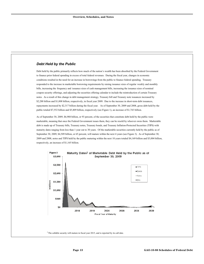# *Debt Held by the Public*

Debt held by the public primarily reflects how much of the nation's wealth has been absorbed by the Federal Government to finance prior federal spending in excess of total federal revenues. During the fiscal year, changes in economic conditions resulted in the need for an increase in borrowings from the public to finance federal spending. Treasury responded to the increase in marketable borrowing requirements by raising issuance sizes of regular weekly and monthly bills, increasing the frequency and issuance sizes of cash management bills, increasing the issuance sizes of nominal coupon security offerings, and adjusting the securities offering calendar to include the reintroduction of certain Treasury notes. As a result of this change in debt management strategy, Treasury bill and Treasury note issuances increased by \$2,288 billion and \$1,008 billion, respectively, in fiscal year 2009. Due to the increase in short-term debt issuances, repayments increased by \$2,317 billion during the fiscal year. As of September 30, 2009 and 2008, gross debt held by the public totaled \$7,552 billion and \$5,809 billion, respectively (see Figure 1), an increase of \$1,743 billion.

As of September 30, 2009, \$6,988 billion, or 93 percent, of the securities that constitute debt held by the public were marketable, meaning that once the Federal Government issues them, they can be resold by whoever owns them. Marketable debt is made up of Treasury bills, Treasury notes, Treasury bonds, and Treasury Inflation-Protected Securities (TIPS) with maturity dates ranging from less than 1 year out to 30 years. Of the marketable securities currently held by the public as of September 30, 2009, \$4,509 billion, or 65 percent, will mature within the next 4 years (see Figure 3). As of September 30, 2009 and 2008, notes and TIPS held by the public maturing within the next 10 years totaled \$4,169 billion and \$3,004 billion, respectively, an increase of \$1,165 billion.

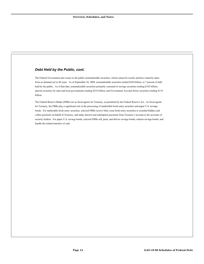# *Debt Held by the Public, cont.*

The Federal Government also issues to the public nonmarketable securities, which cannot be resold, and have maturity dates from on demand out to 40 years. As of September 30, 2009, nonmarketable securities totaled \$564 billion, or 7 percent of debt held by the public. As of that date, nonmarketable securities primarily consisted of savings securities totaling \$192 billion, special securities for state and local governments totaling \$216 billion, and Government Account Series securities totaling \$119 billion.

The Federal Reserve Banks (FRBs) act as fiscal agents for Treasury, as permitted by the Federal Reserve Act. As fiscal agents for Treasury, the FRBs play a significant role in the processing of marketable book-entry securities and paper U.S. savings bonds. For marketable book-entry securities, selected FRBs receive bids; issue book-entry securities to awarded bidders and collect payment on behalf of Treasury; and make interest and redemption payments from Treasury's account to the accounts of security holders. For paper U.S. savings bonds, selected FRBs sell, print, and deliver savings bonds; redeem savings bonds; and handle the related transfers of cash.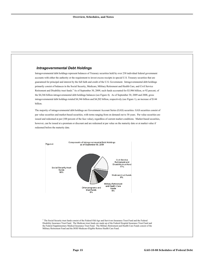# *Intragovernmental Debt Holdings*

Intragovernmental debt holdings represent balances of Treasury securities held by over 230 individual federal government accounts with either the authority or the requirement to invest excess receipts in special U.S. Treasury securities that are guaranteed for principal and interest by the full faith and credit of the U.S. Government. Intragovernmental debt holdings primarily consist of balances in the Social Security, Medicare, Military Retirement and Health Care, and Civil Service Retirement and Disability trust funds.<sup>3</sup> As of September 30, 2009, such funds accounted for \$3,986 billion, or 92 percent, of the \$4,346 billion intragovernmental debt holdings balances (see Figure 4). As of September 30, 2009 and 2008, gross intragovernmental debt holdings totaled \$4,346 billion and \$4,202 billion, respectively (see Figure 1), an increase of \$144 billion.

The majority of intragovernmental debt holdings are Government Account Series (GAS) securities. GAS securities consist of par value securities and market-based securities, with terms ranging from on demand out to 30 years. Par value securities are issued and redeemed at par (100 percent of the face value), regardless of current market conditions. Market-based securities, however, can be issued at a premium or discount and are redeemed at par value on the maturity date or at market value if redeemed before the maturity date.



<sup>3</sup> The Social Security trust funds consist of the Federal Old-Age and Survivors Insurance Trust Fund and the Federal Disability Insurance Trust Fund. The Medicare trust funds are made up of the Federal Hospital Insurance Trust Fund and the Federal Supplementary Medical Insurance Trust Fund. The Military Retirement and Health Care Funds consist of the Military Retirement Fund and the DOD Medicare-Eligible Retiree Health Care Fund.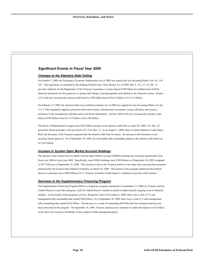# *Significant Events in Fiscal Year 2009*

### *Changes to the Statutory Debt Ceiling*

On October 3, 2008, the Emergency Economic Stabilization Act of 2008 was signed into law becoming Public Law No. 110- 343. This legislation, as amended by the Helping Families Save Their Homes Act of 2009, Pub. L. No. 111-22, Div. A, provides authority for the Department of the Treasury to purchase or insure almost \$700 billion in troubled assets held by financial institutions for the purposes of, among other things, restoring liquidity and stability to the financial system. Section 122 of this law increased the statutory debt limit by \$700 billion from \$10,615 billion to \$11,315 billion.

On February 17, 2009, the American Recovery and Reinvestment Act of 2009 was signed into law becoming Public Law No. 111-5. This legislation supports job preservation and creation, infrastructure investment, energy efficiency and science, assistance to the unemployed, and State and Local fiscal stabilization. Section 1604 of this law increased the statutory debt limit by \$789 billion from \$11,315 billion to \$12,104 billion.

The House of Representatives approved a \$925 billion increase in the statutory debt limit on April 29, 2009. H.J. Res. 45 passed the House pursuant to the provisions of S. Con. Res. 13. In an August 7, 2009, letter to Senate Majority Leader Harry Reid, the Secretary of the Treasury requested that the statutory debt limit be raised. An increase in the limitation is now awaiting Senate approval. As of September 30, 2009, the total public debt outstanding subject to the statutory debt limit was \$11,853 billion.

### *Increase in System Open Market Account Holdings*

The amount of the Federal Reserve Bank's System Open Market Account (SOMA) holdings has increased significantly from fiscal year 2008 to fiscal year 2009. Specifically, total SOMA holdings were \$769 billion as of September 30, 2009 compared to \$477 billion as of September 30, 2008. This increase is due to the Treasury portion of the large scale asset purchase program announced by the Federal Open Market Committee on March 18, 2009. This portion of the program authorized the Federal Reserve to purchase up to \$300 billion of U.S. Treasury securities to help improve conditions in private credit markets.

### *Decrease in the Supplementary Financing Program*

The Supplementary Financing Program (SFP) is a temporary program announced on September 17, 2008, by Treasury and the Federal Reserve to provide emergency cash for Federal Reserve initiatives aimed at addressing the ongoing crisis in financial markets. At the height of this program's activity, during the week of November 6, 2008, there were a total of 15 cash management bills outstanding that totaled \$560 billion. As of September 30, 2009, there were a total of 5 cash management bills outstanding that totaled \$165 billion. The decrease is a result of outstanding SFP bills that have matured and have not been reinvested in the program. On September 16, 2009, Treasury announced its intention to reduce the balance to \$15 billion in the short run to preserve flexibility in the conduct of debt management policy.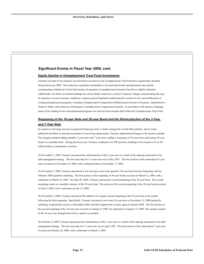# *Significant Events in Fiscal Year 2009, cont.*

## *Equity Decline in Unemployment Trust Fund Investments*

Amounts invested in Government Account Series securities by the Unemployment Trust Fund have significantly declined during fiscal year 2009. This reduction is primarily attributable to elevated nationwide unemployment rates and the corresponding withdrawal of trust fund monies for payment of unemployment insurance benefits to eligible claimants. Additionally, the fund's investment holdings have been further reduced as a result of statutory changes enacted during the year. In response to recent economic conditions, Congress passed legislation authorizing the creation of new and modification of existing unemployment programs, including Unemployment Compensation Modernization Incentive Payments, Administrative Grants to States, and extension of Emergency Unemployment Compensation benefits. In accordance with statutory language, much of the funding for the aforementioned programs was derived from amounts held within the Unemployment Trust Fund.

# *Reopening of the 10-year Note and 30-year Bond and the Reintroduction of the 3-Year and 7-Year Note*

In response to the large increase in projected financing needs, to better manage the overall debt portfolio, and to create additional flexibility in meeting uncertainty in borrowing requirements, Treasury implemented changes to the auction calendar. The changes included adding monthly 3-year notes and 7-year notes; adding a reopening of 10-year notes; and issuing 30-year bonds on a monthly basis. During the fiscal year, Treasury conducted over 290 auctions, resulting in the issuance of over \$8 trillion dollars in marketable securities.

On November 5, 2008, Treasury announced the reintroduction of the 3-year note as a result of the ongoing assessment of its debt management strategy. The last issue date for a 3-year note was in May 2007. The first auction of the reintroduced 3-year notes occurred on November 10, 2008, with a settlement date on November 17, 2008.

On November 5, 2008, Treasury announced it was moving to new-issue quarterly 30-year bond auctions beginning with the February 2009 quarterly refunding. The first auction of the reopening of 30-year bonds occurred on March 12, 2009, with a settlement on March 16, 2009. On April 29, 2009, Treasury announced a second reopening of the 30-year bond. The second reopening results in a monthly issuance of the 30-year bond. The auction of the second reopening of the 30-year bond occurred on July 9, 2009, with a settlement on July 15, 2009.

On November 5, 2008, Treasury announced the addition of a regular second reopening of the 10-year note in the month following the first reopening. Specifically, Treasury auctioned a new-issue 10-year note on November 12, 2008 during the refunding, reopened the security in December 2008, and then reopened the security again in January 2009. The first auction of the second reopening of the 10-year note occurred on January 8, 2009, for settlement on January 15, 2009. The issuance pattern of the 10-year note changed from twice a quarter to monthly.

On February 4, 2009, Treasury announced the reintroduction of the 7-year note as a result of the ongoing assessment of its debt management strategy. The last issue date for a 7-year note was in April 1993. The first auction of the reintroduced 7-year note occurred on February 26, 2009, with a settlement on March 2, 2009.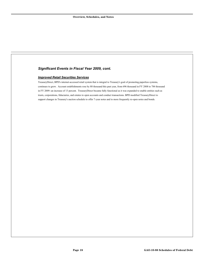# *Significant Events in Fiscal Year 2009, cont.*

## *Improved Retail Securities Services*

TreasuryDirect, BPD's internet-accessed retail system that is integral to Treasury's goal of promoting paperless systems, continues to grow. Account establishments rose by 88 thousand this past year, from 696 thousand in FY 2008 to 784 thousand in FY 2009--an increase of 13 percent. TreasuryDirect became fully functional as it was expanded to enable entities such as trusts, corporations, fiduciaries, and estates to open accounts and conduct transactions. BPD modified TreasuryDirect to support changes in Treasury's auction schedule to offer 7-year notes and to more frequently re-open notes and bonds.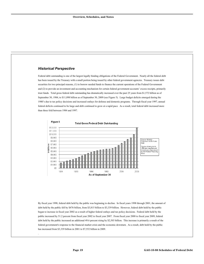## *Historical Perspective*

Federal debt outstanding is one of the largest legally binding obligations of the Federal Government. Nearly all the federal debt has been issued by the Treasury with a small portion being issued by other federal government agencies. Treasury issues debt securities for two principal reasons, (1) to borrow needed funds to finance the current operations of the Federal Government and (2) to provide an investment and accounting mechanism for certain federal government accounts' excess receipts, primarily trust funds. Total gross federal debt outstanding has dramatically increased over the past 25 years from \$1,572 billion as of September 30, 1984, to \$11,898 billion as of September 30, 2009 (see Figure 5). Large budget deficits emerged during the 1980's due to tax policy decisions and increased outlays for defense and domestic programs. Through fiscal year 1997, annual federal deficits continued to be large and debt continued to grow at a rapid pace. As a result, total federal debt increased more than three fold between 1984 and 1997.



By fiscal year 1998, federal debt held by the public was beginning to decline. In fiscal years 1998 through 2001, the amount of debt held by the public fell by \$476 billion, from \$3,815 billion to \$3,339 billion. However, federal debt held by the public began to increase in fiscal year 2002 as a result of higher federal outlays and tax policy decisions. Federal debt held by the public increased by 51.2 percent from fiscal year 2002 to fiscal year 2007. From fiscal year 2008 to fiscal year 2009, federal debt held by the public increased an additional 49.6 percent rising by \$2,503 billion. This increase is primarily a result of the federal government's response to the financial market crisis and the economic downturn. As a result, debt held by the public has increased from \$3,339 billion in 2001 to \$7,552 billion in 2009.

.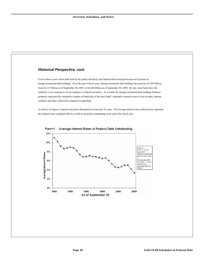# *Historical Perspective, cont.*

Even in those years where debt held by the public declined, total federal debt increased because of increases in intragovernmental debt holdings. Over the past 4 fiscal years, intragovernmental debt holdings increased by \$1,029 billion, from \$3,317 billion as of September 30, 2005, to \$4,346 billion as of September 30, 2009. By law, trust funds have the authority or are required to invest surpluses in federal securities. As a result, the intragovernmental debt holdings balances primarily represent the cumulative surplus of funds due to the trust funds' cumulative annual excess of tax receipts, interest credited, and other collections compared to spending.

As shown in Figure 6, interest rates have fluctuated over the past 25 years. The average interest rates reflected here represent the original issue weighted effective yield on securities outstanding at the end of the fiscal year.



#### Figure 6 Average Interest Rates of Federal Debt Outstanding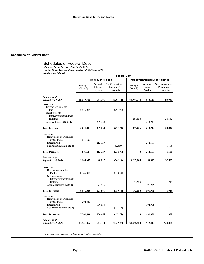# <span id="page-23-0"></span>**Schedules of Federal Debt**

|                                                                                                                                         |                           |                                | <b>Federal Debt</b>                         |                                        |                                |                                             |
|-----------------------------------------------------------------------------------------------------------------------------------------|---------------------------|--------------------------------|---------------------------------------------|----------------------------------------|--------------------------------|---------------------------------------------|
|                                                                                                                                         | <b>Held by the Public</b> |                                |                                             | <b>Intragovernmental Debt Holdings</b> |                                |                                             |
|                                                                                                                                         | Principal<br>(Note 2)     | Accrued<br>Interest<br>Payable | Net Unamortized<br>Premiums/<br>(Discounts) | Principal<br>(Note 3)                  | Accrued<br>Interest<br>Payable | Net Unamortized<br>Premiums/<br>(Discounts) |
| <b>Balance as of</b><br>September 30, 2007                                                                                              | \$5,049,305               | \$44,386                       | $($ \$39,441)                               | \$3,944,348                            | \$48,611                       | \$3,730                                     |
| <b>Increases</b><br>Borrowings from the<br>Public<br>Net Increase in<br>Intragovernmental Debt                                          | 5,645,014                 |                                | (29, 192)                                   |                                        |                                |                                             |
| Holdings<br>Accrued Interest (Note 4)                                                                                                   |                           | 209,068                        |                                             | 257,656                                | 213,943                        | 30,342                                      |
| <b>Total Increases</b>                                                                                                                  | 5,645,014                 | 209,068                        | (29, 192)                                   | 257,656                                | 213,943                        | 30,342                                      |
| <b>Decreases</b><br>Repayments of Debt Held<br>by the Public<br><b>Interest Paid</b><br>Net Amortization (Note 4)                       | 4,885,627                 | 213,327                        | (32,509)                                    |                                        | 212,161                        | 1,505                                       |
| <b>Total Decreases</b>                                                                                                                  | 4,885,627                 | 213,327                        | (32,509)                                    | $\bf{0}$                               | 212,161                        | 1,505                                       |
| <b>Balance</b> as of<br>September 30, 2008                                                                                              | 5,808,692                 | 40,127                         | (36, 124)                                   | 4,202,004                              | 50,393                         | 32,567                                      |
| <b>Increases</b><br>Borrowings from the<br>Public<br>Net Increase in<br>Intragovernmental Debt<br>Holdings<br>Accrued Interest (Note 4) | 8,946,010                 | 171,875                        | (15,054)                                    | 143,550                                | 191,955                        | 1,718                                       |
| <b>Total Increases</b>                                                                                                                  | 8,946,010                 | 171,875                        | (15, 054)                                   | 143,550                                | 191,955                        | 1,718                                       |
| <b>Decreases</b><br>Repayments of Debt Held<br>by the Public<br><b>Interest Paid</b><br>Net Amortization (Note 4)                       | 7,202,840                 | 170,654                        | (17, 273)                                   |                                        | 192,905                        | 399                                         |
| <b>Total Decreases</b>                                                                                                                  | 7,202,840                 | 170,654                        | (17, 273)                                   | $\bf{0}$                               | 192,905                        | 399                                         |

*The accompanying notes are an integral part of these schedules.*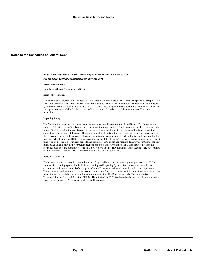### <span id="page-24-0"></span>**Notes to the Schedules of Federal Debt**

*Notes to the Schedules of Federal Debt Managed by the Bureau of the Public Debt For the Fiscal Years Ended September 30, 2009 and 2008* 

 *(Dollars in Millions)* 

**Note 1. Significant Accounting Policies** 

Basis of Presentation

The Schedules of Federal Debt Managed by the Bureau of the Public Debt (BPD) have been prepared to report fiscal year 2009 and fiscal year 2008 balances and activity relating to monies borrowed from the public and certain federal government accounts under Title 31 U.S.C. § 3101 to fund the U.S. government's operations. Permanent, indefinite appropriations are available for the payment of interest on the federal debt and the redemption of Treasury securities.

#### Reporting Entity

The Constitution empowers the Congress to borrow money on the credit of the United States. The Congress has authorized the Secretary of the Treasury to borrow monies to operate the federal government within a statutory debt limit. Title 31 U.S.C. authorizes Treasury to prescribe the debt instruments and otherwise limit and restrict the amount and composition of the debt. BPD, an organizational entity within the Fiscal Service of the Department of the Treasury, is responsible for issuing Treasury securities in accordance with such authority and to account for the resulting debt. In addition, BPD has been given the responsibility to issue Treasury securities to trust funds for trust fund receipts not needed for current benefits and expenses. BPD issues and redeems Treasury securities for the trust funds based on data provided by program agencies and other Treasury entities. BPD also issues other specific securities outside of the authority of Title 31 U.S.C. § 3101, such as HOPE Bonds. These securities are not reported on the Schedules of Federal Debt Managed by the Bureau of the Public Debt.

#### Basis of Accounting

The schedules were prepared in conformity with U.S. generally accepted accounting principles and from BPD's automated accounting system, Public Debt Accounting and Reporting System. Interest costs are recorded as expenses when incurred, instead of when paid. Certain Treasury securities are issued at a discount or premium. These discounts and premiums are amortized over the term of the security using an interest method for all long term securities and the straight line method for short term securities. The Department of the Treasury also issues Treasury Inflation-Protected Securities (TIPS). The principal for TIPS is adjusted daily over the life of the security based on the Consumer Price Index for all Urban Consumers.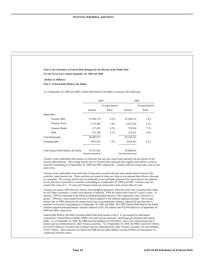| Notes to the Schedules of Federal Debt Managed by the Bureau of the Public Debt<br>For the Fiscal Years Ended September 30, 2009 and 2008                                                                                                                                                                                                                                                                                                                                                                                                                                                                                         |             |                  |             |                  |
|-----------------------------------------------------------------------------------------------------------------------------------------------------------------------------------------------------------------------------------------------------------------------------------------------------------------------------------------------------------------------------------------------------------------------------------------------------------------------------------------------------------------------------------------------------------------------------------------------------------------------------------|-------------|------------------|-------------|------------------|
| (Dollars in Millions)                                                                                                                                                                                                                                                                                                                                                                                                                                                                                                                                                                                                             |             |                  |             |                  |
| Note 2. Federal Debt Held by the Public                                                                                                                                                                                                                                                                                                                                                                                                                                                                                                                                                                                           |             |                  |             |                  |
| As of September 30, 2009 and 2008, Federal Debt Held by the Public consisted of the following:                                                                                                                                                                                                                                                                                                                                                                                                                                                                                                                                    |             |                  |             |                  |
|                                                                                                                                                                                                                                                                                                                                                                                                                                                                                                                                                                                                                                   | 2009        |                  | 2008        |                  |
|                                                                                                                                                                                                                                                                                                                                                                                                                                                                                                                                                                                                                                   |             | Average Interest |             | Average Interest |
|                                                                                                                                                                                                                                                                                                                                                                                                                                                                                                                                                                                                                                   | Amount      | Rates            | Amount      | Rates            |
| Marketable:                                                                                                                                                                                                                                                                                                                                                                                                                                                                                                                                                                                                                       |             |                  |             |                  |
| <b>Treasury Bills</b>                                                                                                                                                                                                                                                                                                                                                                                                                                                                                                                                                                                                             | \$1,986,174 | $0.3\%$          | \$1,484,332 | 1.6%             |
| <b>Treasury Notes</b>                                                                                                                                                                                                                                                                                                                                                                                                                                                                                                                                                                                                             | 3,772,964   | $3.0\%$          | 2,623,364   | 4.1%             |
| <b>Treasury Bonds</b>                                                                                                                                                                                                                                                                                                                                                                                                                                                                                                                                                                                                             | 677,491     | 6.5%             | 578,504     | 7.1%             |
| <b>TIPS</b>                                                                                                                                                                                                                                                                                                                                                                                                                                                                                                                                                                                                                       | 551,308     | 2.1%             | 523,951     | 2.0%             |
| <b>Total Marketable</b>                                                                                                                                                                                                                                                                                                                                                                                                                                                                                                                                                                                                           | \$6,987,937 |                  | \$5,210,151 |                  |
| Nonmarketable                                                                                                                                                                                                                                                                                                                                                                                                                                                                                                                                                                                                                     | \$563,925   | 3.7%             | \$598,541   | 4.1%             |
| Total Federal Debt Held by the Public                                                                                                                                                                                                                                                                                                                                                                                                                                                                                                                                                                                             | \$7,551,862 |                  | \$5,808,692 |                  |
| Treasury issues marketable bills usually at a discount, but may also issue at par, and pays the par amount of the<br>security upon maturity. The average interest rate on Treasury bills represents the original issue effective yield on<br>securities outstanding as of September 30, 2009 and 2008, respectively. Treasury bills are issued with a term of one<br>year or less.<br>Treasury issues marketable notes and bonds as long-term securities that pay semi-annual interest based on the<br>securities' stated interest rate. These securities are issued at either par value or at an amount that reflects a discount |             |                  |             |                  |

for all Urban Consumers, a widely used measure of inflation. TIPS are issued with a term of 5 years or more. At maturity, TIPS are redeemed at the inflation-adjusted principal amount, or the original par value, whichever is greater. TIPS pay a semi-annual fixed rate of interest applied to the inflation-adjusted principal. The average interest rate on TIPS represents the stated interest rate on principal plus inflation, adjusted by any discount or premium on securities outstanding as of September 30, 2009 and 2008. The TIPS Federal Debt Held by the Public inflation-adjusted principal balance includes inflation of \$57,552 million and \$72,930 million as of September 30, 2009 and 2008, respectively.

Federal Debt Held by the Public includes federal debt held outside of the U. S. government by individuals, corporations, Federal Reserve Banks (FRB), state and local governments, and foreign governments and central banks. As of September 30, 2009, the FRB had total holdings of \$769 billion, with a very small amount lent to dealers and not collateralized by other Treasury securities. As of September 30, 2008, the FRB owned \$221 billion, net of \$256 billion in securities lent to dealers and not collateralized by other Treasury securities, for total holdings of \$477 billion. These securities are held in the FRB System Open Market Account (SOMA) for the purpose of conducting monetary policy.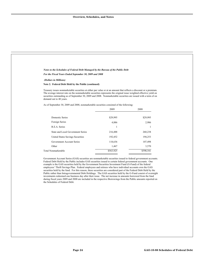$\frac{1}{\sqrt{1-\frac{1}{2}}}$ 

| Notes to the Schedules of Federal Debt Managed by the Bureau of the Public Debt                                                                                                                                                                                                                                                                                                                                                                                                                                                                                          |                                                                                                                |                                                                                                             |
|--------------------------------------------------------------------------------------------------------------------------------------------------------------------------------------------------------------------------------------------------------------------------------------------------------------------------------------------------------------------------------------------------------------------------------------------------------------------------------------------------------------------------------------------------------------------------|----------------------------------------------------------------------------------------------------------------|-------------------------------------------------------------------------------------------------------------|
| For the Fiscal Years Ended September 30, 2009 and 2008                                                                                                                                                                                                                                                                                                                                                                                                                                                                                                                   |                                                                                                                |                                                                                                             |
| (Dollars in Millions)                                                                                                                                                                                                                                                                                                                                                                                                                                                                                                                                                    |                                                                                                                |                                                                                                             |
| Note 2. Federal Debt Held by the Public (continued)                                                                                                                                                                                                                                                                                                                                                                                                                                                                                                                      |                                                                                                                |                                                                                                             |
| Treasury issues nonmarketable securities at either par value or at an amount that reflects a discount or a premium.<br>The average interest rate on the nonmarketable securities represents the original issue weighted effective yield on<br>securities outstanding as of September 30, 2009 and 2008. Nonmarketable securities are issued with a term of on<br>demand out to 40 years.                                                                                                                                                                                 |                                                                                                                |                                                                                                             |
| As of September 30, 2009 and 2008, nonmarketable securities consisted of the following:                                                                                                                                                                                                                                                                                                                                                                                                                                                                                  | 2009                                                                                                           | 2008                                                                                                        |
|                                                                                                                                                                                                                                                                                                                                                                                                                                                                                                                                                                          |                                                                                                                |                                                                                                             |
| <b>Domestic Series</b>                                                                                                                                                                                                                                                                                                                                                                                                                                                                                                                                                   | \$29,995                                                                                                       | \$29,995                                                                                                    |
| Foreign Series                                                                                                                                                                                                                                                                                                                                                                                                                                                                                                                                                           | 4,886                                                                                                          | 2,986                                                                                                       |
| R.E.A. Series                                                                                                                                                                                                                                                                                                                                                                                                                                                                                                                                                            | $\mathbf{1}$                                                                                                   | 1                                                                                                           |
| State and Local Government Series                                                                                                                                                                                                                                                                                                                                                                                                                                                                                                                                        | 216,488                                                                                                        | 260,238                                                                                                     |
| United States Savings Securities                                                                                                                                                                                                                                                                                                                                                                                                                                                                                                                                         | 192,452                                                                                                        | 194,253                                                                                                     |
| Government Account Series                                                                                                                                                                                                                                                                                                                                                                                                                                                                                                                                                | 118,636                                                                                                        | 107,498                                                                                                     |
| Other                                                                                                                                                                                                                                                                                                                                                                                                                                                                                                                                                                    | 1,467                                                                                                          | 3,570                                                                                                       |
| Total Nonmarketable                                                                                                                                                                                                                                                                                                                                                                                                                                                                                                                                                      | \$563,925                                                                                                      | \$598,541                                                                                                   |
| Government Account Series (GAS) securities are nonmarketable securities issued to federal government accounts.<br>Federal Debt Held by the Public includes GAS securities issued to certain federal government accounts. One<br>example is the GAS securities held by the Government Securities Investment Fund (G-Fund) of the federal<br>employees' Thrift Savings Plan. Federal employees and retirees who have individual accounts own the GAS<br>securities held by the fund. For this reason, these securities are considered part of the Federal Debt Held by the | Public rather than Intragovernmental Debt Holdings. The GAS securities held by the G-Fund consist of overnight | investments redeemed one business day after their issue. The net increase in amounts borrowed from the fund |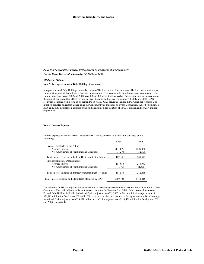| Notes to the Schedules of Federal Debt Managed by the Bureau of the Public Debt                                                                                                                                                                                                                                                                                                                                                                                                                                                                                                                                                                                                                                                                                                                                                                                  |                     |                     |
|------------------------------------------------------------------------------------------------------------------------------------------------------------------------------------------------------------------------------------------------------------------------------------------------------------------------------------------------------------------------------------------------------------------------------------------------------------------------------------------------------------------------------------------------------------------------------------------------------------------------------------------------------------------------------------------------------------------------------------------------------------------------------------------------------------------------------------------------------------------|---------------------|---------------------|
| For the Fiscal Years Ended September 30, 2009 and 2008                                                                                                                                                                                                                                                                                                                                                                                                                                                                                                                                                                                                                                                                                                                                                                                                           |                     |                     |
| (Dollars in Millions)                                                                                                                                                                                                                                                                                                                                                                                                                                                                                                                                                                                                                                                                                                                                                                                                                                            |                     |                     |
| Note 3. Intragovernmental Debt Holdings (continued)                                                                                                                                                                                                                                                                                                                                                                                                                                                                                                                                                                                                                                                                                                                                                                                                              |                     |                     |
| Intragovernmental Debt Holdings primarily consist of GAS securities. Treasury issues GAS securities at either par<br>value or at an amount that reflects a discount or a premium. The average interest rates on Intragovernmental Debt<br>Holdings for fiscal years 2009 and 2008 were 4.3 and 4.8 percent, respectively. The average interest rate represents<br>the original issue weighted effective yield on securities outstanding as of September 30, 2009 and 2008. GAS<br>securities are issued with a term of on demand to 30 years. GAS securities include TIPS, which are reported at an<br>inflation-adjusted principal balance using the Consumer Price Index for all Urban Consumers. As of September 30,<br>2009 and 2008, the inflation-adjusted principal balance included inflation of \$54,775 million and \$54,776 million,<br>respectively. |                     |                     |
| Note 4. Interest Expense                                                                                                                                                                                                                                                                                                                                                                                                                                                                                                                                                                                                                                                                                                                                                                                                                                         |                     |                     |
| Interest expense on Federal Debt Managed by BPD for fiscal years 2009 and 2008 consisted of the<br>following:                                                                                                                                                                                                                                                                                                                                                                                                                                                                                                                                                                                                                                                                                                                                                    |                     |                     |
|                                                                                                                                                                                                                                                                                                                                                                                                                                                                                                                                                                                                                                                                                                                                                                                                                                                                  | 2009                | 2008                |
|                                                                                                                                                                                                                                                                                                                                                                                                                                                                                                                                                                                                                                                                                                                                                                                                                                                                  |                     |                     |
| Federal Debt Held by the Public<br><b>Accrued Interest</b><br>Net Amortization of Premiums and Discounts                                                                                                                                                                                                                                                                                                                                                                                                                                                                                                                                                                                                                                                                                                                                                         | \$171,875<br>17,273 | \$209,068<br>32,509 |
| Total Interest Expense on Federal Debt Held by the Public                                                                                                                                                                                                                                                                                                                                                                                                                                                                                                                                                                                                                                                                                                                                                                                                        | 189,148             | 241,577             |
| Intragovernmental Debt Holdings<br>Accrued Interest<br>Net Amortization of Premiums and Discounts                                                                                                                                                                                                                                                                                                                                                                                                                                                                                                                                                                                                                                                                                                                                                                | 191,955<br>(399)    | 213,943<br>(1,505)  |
| Total Interest Expense on Intragovernmental Debt Holdings                                                                                                                                                                                                                                                                                                                                                                                                                                                                                                                                                                                                                                                                                                                                                                                                        | 191,556             | 212,438             |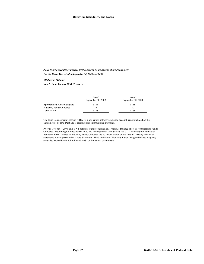| Notes to the Schedules of Federal Debt Managed by the Bureau of the Public Debt                                                                                                  |                             |                                                                                                                                                                                                                                                                                                                                                                                                                                                                   |  |
|----------------------------------------------------------------------------------------------------------------------------------------------------------------------------------|-----------------------------|-------------------------------------------------------------------------------------------------------------------------------------------------------------------------------------------------------------------------------------------------------------------------------------------------------------------------------------------------------------------------------------------------------------------------------------------------------------------|--|
| For the Fiscal Years Ended September 30, 2009 and 2008                                                                                                                           |                             |                                                                                                                                                                                                                                                                                                                                                                                                                                                                   |  |
| (Dollars in Millions)                                                                                                                                                            |                             |                                                                                                                                                                                                                                                                                                                                                                                                                                                                   |  |
| Note 5. Fund Balance With Treasury                                                                                                                                               |                             |                                                                                                                                                                                                                                                                                                                                                                                                                                                                   |  |
|                                                                                                                                                                                  |                             |                                                                                                                                                                                                                                                                                                                                                                                                                                                                   |  |
|                                                                                                                                                                                  | As of<br>September 30, 2009 | As of<br>September 30, 2008                                                                                                                                                                                                                                                                                                                                                                                                                                       |  |
| Appropriated Funds Obligated<br>Fiduciary Funds Obligated<br><b>Total FBWT</b>                                                                                                   | \$115<br>\$3<br>\$118       | \$168<br>\$0<br>\$168                                                                                                                                                                                                                                                                                                                                                                                                                                             |  |
| The Fund Balance with Treasury (FBWT), a non-entity, intragovernmental account, is not included on the<br>Schedules of Federal Debt and is presented for informational purposes. |                             |                                                                                                                                                                                                                                                                                                                                                                                                                                                                   |  |
| securities backed by the full faith and credit of the federal government.                                                                                                        |                             | Prior to October 1, 2008, all FBWT balances were recognized on Treasury's Balance Sheet as Appropriated Funds<br>Obligated. Beginning with fiscal year 2009, and in conjunction with SFFAS No. 31: Accounting for Fiduciary<br>Activities, FBWT related to Fiduciary Funds Obligated are no longer shown on the face of Treasury's financial<br>statements but are presented as a note disclosure. The \$3 million of Fiduciary Funds Obligated relates to agency |  |
|                                                                                                                                                                                  |                             |                                                                                                                                                                                                                                                                                                                                                                                                                                                                   |  |
|                                                                                                                                                                                  |                             |                                                                                                                                                                                                                                                                                                                                                                                                                                                                   |  |
|                                                                                                                                                                                  |                             |                                                                                                                                                                                                                                                                                                                                                                                                                                                                   |  |
|                                                                                                                                                                                  |                             |                                                                                                                                                                                                                                                                                                                                                                                                                                                                   |  |
|                                                                                                                                                                                  |                             |                                                                                                                                                                                                                                                                                                                                                                                                                                                                   |  |
|                                                                                                                                                                                  |                             |                                                                                                                                                                                                                                                                                                                                                                                                                                                                   |  |
|                                                                                                                                                                                  |                             |                                                                                                                                                                                                                                                                                                                                                                                                                                                                   |  |
|                                                                                                                                                                                  |                             |                                                                                                                                                                                                                                                                                                                                                                                                                                                                   |  |
|                                                                                                                                                                                  |                             |                                                                                                                                                                                                                                                                                                                                                                                                                                                                   |  |
|                                                                                                                                                                                  |                             |                                                                                                                                                                                                                                                                                                                                                                                                                                                                   |  |
|                                                                                                                                                                                  |                             |                                                                                                                                                                                                                                                                                                                                                                                                                                                                   |  |
|                                                                                                                                                                                  |                             |                                                                                                                                                                                                                                                                                                                                                                                                                                                                   |  |
|                                                                                                                                                                                  |                             |                                                                                                                                                                                                                                                                                                                                                                                                                                                                   |  |
|                                                                                                                                                                                  |                             |                                                                                                                                                                                                                                                                                                                                                                                                                                                                   |  |
|                                                                                                                                                                                  |                             |                                                                                                                                                                                                                                                                                                                                                                                                                                                                   |  |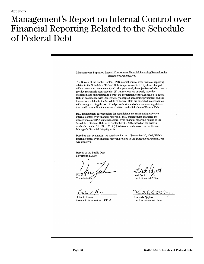# <span id="page-30-0"></span>Management's Report on Internal Control over Financial Reporting Related to the Schedule of **Federal** Debt

Management's Report on Internal Control over Financial Reporting Related to the **Schedule of Federal Debt** The Bureau of the Public Debt's (BPD) internal control over financial reporting related to the Schedule of Federal Debt is a process effected by those charged with governance, management, and other personnel, the objectives of which are to provide reasonable assurance that (1) transactions are properly recorded, processed, and summarized to permit the preparation of the Schedule of Federal Debt in accordance with U.S. generally accepted accounting principles; and (2) transactions related to the Schedule of Federal Debt are executed in accordance with laws governing the use of budget authority and other laws and regulations that could have a direct and material effect on the Schedule of Federal Debt. BPD management is responsible for establishing and maintaining effective internal control over financial reporting. BPD management evaluated the effectiveness of BPD's internal control over financial reporting related to the Schedule of Federal Debt as of September 30, 2009, based on the criteria established under 31 U.S.C. 3512 (c), (d) (commonly known as the Federal Manager's Financial Integrity Act). Based on that evaluation, we conclude that, as of September 30, 2009, BPD's internal control over financial reporting related to the Schedule of Federal Debt was effective. Bureau of the Public Debt November 2, 2009 Van Zeck Fred Pyatt Chief Financial Officer Commissione Debra L. Hines Kimberly McCoy Assistant Commissioner, OPDA Chief Information Officer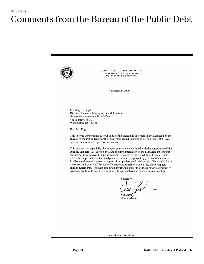# <span id="page-31-0"></span>**Comments from the Bureau of the Public Debt**

DEPARTMENT OF THE TREASURY BUREAU OF THE PUBLIC DEBT WASHINGTON, DC 20239-0001 November 6, 2009 Mr. Gary T. Engel Director, Financial Management and Assurance Government Accountability Office 441 G Street, N.W. Washington, DC 20548 Dear Mr. Engel: This letter is our response to your audit of the Schedules of Federal Debt Managed by the Bureau of the Public Debt for the fiscal years ended September 30, 2009 and 2008. We agree with your audit report's conclusions. This year was an especially challenging year as we were faced with the compliance of the auditing standard, AT Section 501, and the implementation of the Management's Report on Internal Control over Financial Reporting Related to the Schedule of Federal Debt letter. We appreciate the knowledge and experience displayed by your audit team as we finalize the thirteenth consecutive year of our professional relationship. We would like to thank you and your staff for your efficiency and timeliness as we face more stringent audit requirements. Through combined efforts, the usability of these reports continues to grow and we look forward to continuing this productive and successful relationship. Sincerely,  $Van$  Zeck Commissioner www.treasurydirect.gov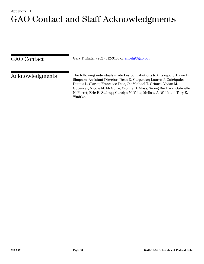# <span id="page-32-0"></span>GAO Contact and Staff Acknowledgments

| <b>GAO</b> Contact | Gary T. Engel, (202) 512-3406 or engelg@gao.gov                                                                                                                                                                                                                                                                                                                                             |
|--------------------|---------------------------------------------------------------------------------------------------------------------------------------------------------------------------------------------------------------------------------------------------------------------------------------------------------------------------------------------------------------------------------------------|
| Acknowledgments    | The following individuals made key contributions to this report: Dawn B.<br>Simpson, Assistant Director; Dean D. Carpenter; Lauren J. Catchpole;<br>Dennis L. Clarke; Francisco Diaz, Jr.; Michael T. Grimes; Vivian M.<br>Gutierrez; Nicole M. McGuire; Yvonne D. Moss; Seong Bin Park; Gabrielle<br>N. Perret; Eric H. Stalcup; Carolyn M. Voltz; Melissa A. Wolf; and Tory E.<br>Wudtke. |